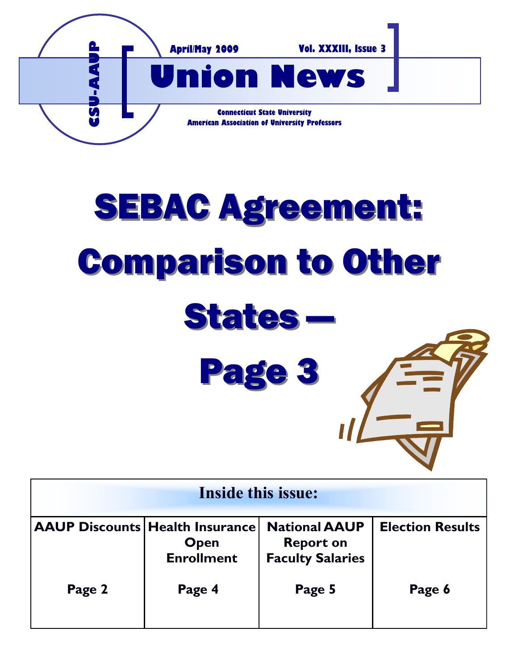

# SEBAC Agreement: Comparison to Other States — Page 3

| <b>Inside this issue:</b> |                                                                            |                                                                     |                         |
|---------------------------|----------------------------------------------------------------------------|---------------------------------------------------------------------|-------------------------|
|                           | <b>AAUP Discounts Health Insurance</b><br><b>Open</b><br><b>Enrollment</b> | <b>National AAUP</b><br><b>Report on</b><br><b>Faculty Salaries</b> | <b>Election Results</b> |
| Page 2                    | Page 4                                                                     | Page 5                                                              | Page 6                  |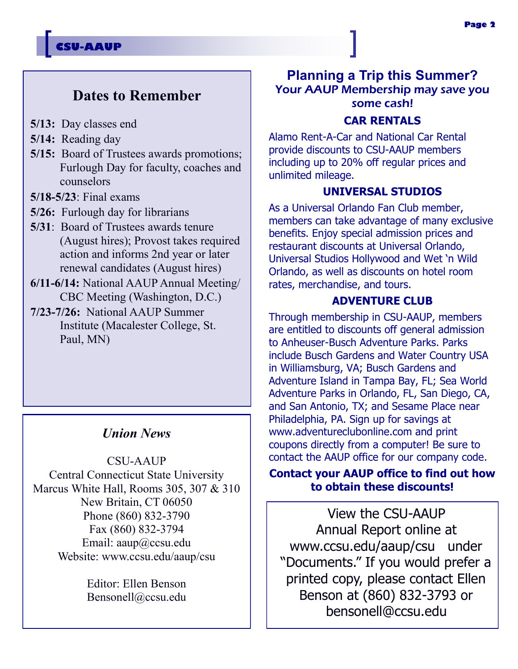## **CSU-AAUP**

# **Dates to Remember**

- **5/13:** Day classes end
- **5/14:** Reading day
- **5/15:** Board of Trustees awards promotions; Furlough Day for faculty, coaches and counselors
- **5/18-5/23**: Final exams
- **5/26:** Furlough day for librarians
- **5/31**: Board of Trustees awards tenure (August hires); Provost takes required action and informs 2nd year or later renewal candidates (August hires)
- **6/11-6/14:** National AAUP Annual Meeting/ CBC Meeting (Washington, D.C.)
- **7/23-7/26:** National AAUP Summer Institute (Macalester College, St. Paul, MN)

## *Union News*

CSU-AAUP Central Connecticut State University Marcus White Hall, Rooms 305, 307 & 310 New Britain, CT 06050 Phone (860) 832-3790 Fax (860) 832-3794 Email: aaup@ccsu.edu Website: www.ccsu.edu/aaup/csu

> Editor: Ellen Benson Bensonell@ccsu.edu

# **Planning a Trip this Summer?** Your AAUP Membership may save you some cash!

### **CAR RENTALS**

Alamo Rent-A-Car and National Car Rental provide discounts to CSU-AAUP members including up to 20% off regular prices and unlimited mileage.

### **UNIVERSAL STUDIOS**

As a Universal Orlando Fan Club member, members can take advantage of many exclusive benefits. Enjoy special admission prices and restaurant discounts at Universal Orlando, Universal Studios Hollywood and Wet "n Wild Orlando, as well as discounts on hotel room rates, merchandise, and tours.

### **ADVENTURE CLUB**

Through membership in CSU-AAUP, members are entitled to discounts off general admission to Anheuser-Busch Adventure Parks. Parks include Busch Gardens and Water Country USA in Williamsburg, VA; Busch Gardens and Adventure Island in Tampa Bay, FL; Sea World Adventure Parks in Orlando, FL, San Diego, CA, and San Antonio, TX; and Sesame Place near Philadelphia, PA. Sign up for savings at www.adventureclubonline.com and print coupons directly from a computer! Be sure to contact the AAUP office for our company code.

### **Contact your AAUP office to find out how to obtain these discounts!**

View the CSU-AAUP Annual Report online at www.ccsu.edu/aaup/csu under "Documents." If you would prefer a printed copy, please contact Ellen Benson at (860) 832-3793 or bensonell@ccsu.edu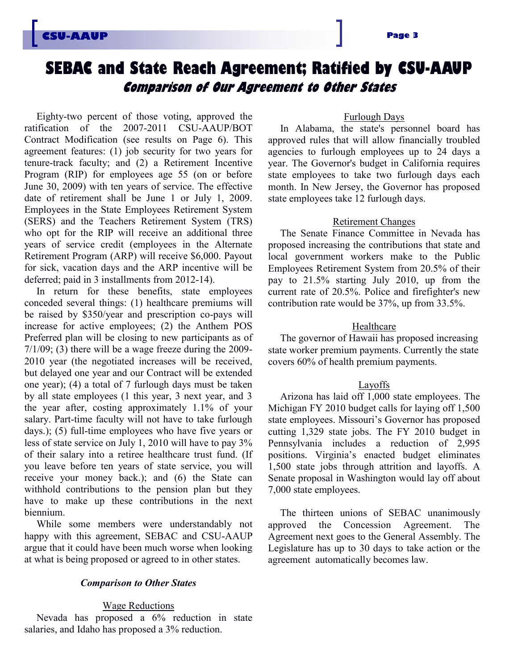# **SEBAC and State Reach Agreement; Ratified by CSU-AAUP Comparison of Our Agreement to Other States**

Eighty-two percent of those voting, approved the ratification of the 2007-2011 CSU-AAUP/BOT Contract Modification (see results on Page 6). This agreement features: (1) job security for two years for tenure-track faculty; and (2) a Retirement Incentive Program (RIP) for employees age 55 (on or before June 30, 2009) with ten years of service. The effective date of retirement shall be June 1 or July 1, 2009. Employees in the State Employees Retirement System (SERS) and the Teachers Retirement System (TRS) who opt for the RIP will receive an additional three years of service credit (employees in the Alternate Retirement Program (ARP) will receive \$6,000. Payout for sick, vacation days and the ARP incentive will be deferred; paid in 3 installments from 2012-14).

In return for these benefits, state employees conceded several things: (1) healthcare premiums will be raised by \$350/year and prescription co-pays will increase for active employees; (2) the Anthem POS Preferred plan will be closing to new participants as of  $7/1/09$ ; (3) there will be a wage freeze during the 2009-2010 year (the negotiated increases will be received, but delayed one year and our Contract will be extended one year); (4) a total of 7 furlough days must be taken by all state employees (1 this year, 3 next year, and 3 the year after, costing approximately 1.1% of your salary. Part-time faculty will not have to take furlough days.); (5) full-time employees who have five years or less of state service on July 1, 2010 will have to pay 3% of their salary into a retiree healthcare trust fund. (If you leave before ten years of state service, you will receive your money back.); and (6) the State can withhold contributions to the pension plan but they have to make up these contributions in the next biennium.

While some members were understandably not happy with this agreement, SEBAC and CSU-AAUP argue that it could have been much worse when looking at what is being proposed or agreed to in other states.

### *Comparison to Other States*

#### Wage Reductions

Nevada has proposed a 6% reduction in state salaries, and Idaho has proposed a 3% reduction.

### Furlough Days

In Alabama, the state's personnel board has approved rules that will allow financially troubled agencies to furlough employees up to 24 days a year. The Governor's budget in California requires state employees to take two furlough days each month. In New Jersey, the Governor has proposed state employees take 12 furlough days.

### Retirement Changes

The Senate Finance Committee in Nevada has proposed increasing the contributions that state and local government workers make to the Public Employees Retirement System from 20.5% of their pay to 21.5% starting July 2010, up from the current rate of 20.5%. Police and firefighter's new contribution rate would be 37%, up from 33.5%.

### Healthcare

The governor of Hawaii has proposed increasing state worker premium payments. Currently the state covers 60% of health premium payments.

### Layoffs

Arizona has laid off 1,000 state employees. The Michigan FY 2010 budget calls for laying off 1,500 state employees. Missouri's Governor has proposed cutting 1,329 state jobs. The FY 2010 budget in Pennsylvania includes a reduction of 2,995 positions. Virginia's enacted budget eliminates 1,500 state jobs through attrition and layoffs. A Senate proposal in Washington would lay off about 7,000 state employees.

The thirteen unions of SEBAC unanimously approved the Concession Agreement. The Agreement next goes to the General Assembly. The Legislature has up to 30 days to take action or the agreement automatically becomes law.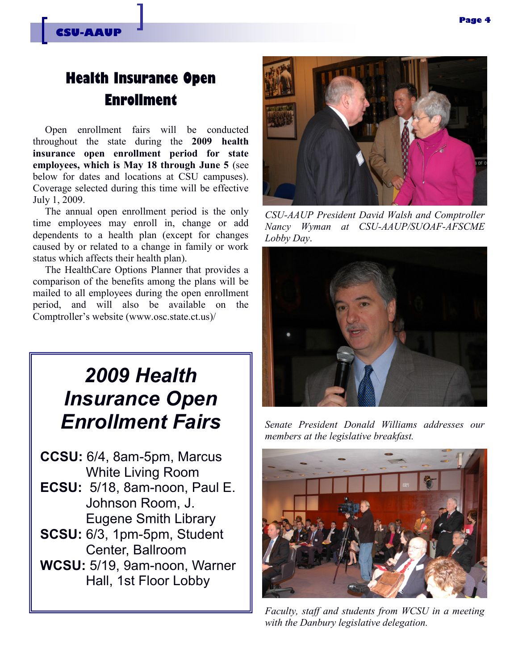# **Health Insurance Open Enrollment**

Open enrollment fairs will be conducted throughout the state during the **2009 health insurance open enrollment period for state employees, which is May 18 through June 5** (see below for dates and locations at CSU campuses). Coverage selected during this time will be effective July 1, 2009.

The annual open enrollment period is the only time employees may enroll in, change or add dependents to a health plan (except for changes caused by or related to a change in family or work status which affects their health plan).

The HealthCare Options Planner that provides a comparison of the benefits among the plans will be mailed to all employees during the open enrollment period, and will also be available on the Comptroller's website (www.osc.state.ct.us)/

# *2009 Health Insurance Open Enrollment Fairs*

- **CCSU:** 6/4, 8am-5pm, Marcus White Living Room
- **ECSU:** 5/18, 8am-noon, Paul E. Johnson Room, J. Eugene Smith Library
- **SCSU:** 6/3, 1pm-5pm, Student Center, Ballroom
- **WCSU:** 5/19, 9am-noon, Warner Hall, 1st Floor Lobby



*CSU-AAUP President David Walsh and Comptroller Nancy Wyman at CSU-AAUP/SUOAF-AFSCME Lobby Day*.



*Senate President Donald Williams addresses our members at the legislative breakfast.* 



*Faculty, staff and students from WCSU in a meeting with the Danbury legislative delegation.*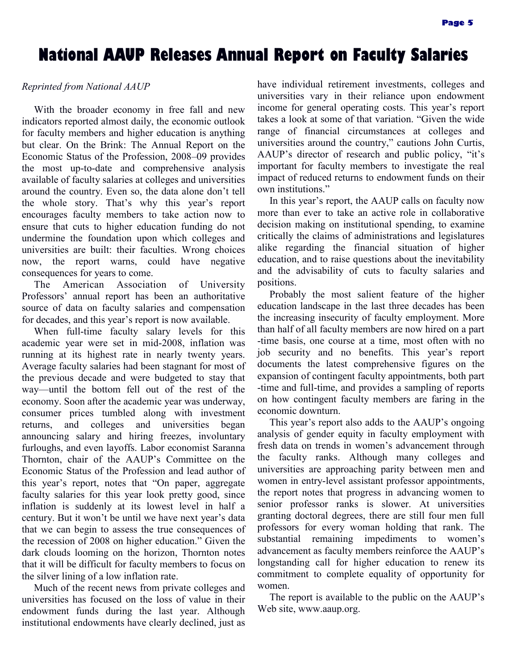# **National AAUP Releases Annual Report on Faculty Salaries**

### *Reprinted from National AAUP*

With the broader economy in free fall and new indicators reported almost daily, the economic outlook for faculty members and higher education is anything but clear. [On the Brink: The Annual Report on the](http://www.aaup.org/AAUP/comm/rep/Z/ecstatreport08-09/default.htm)  [Economic Status of the Profession, 2008](http://www.aaup.org/AAUP/comm/rep/Z/ecstatreport08-09/default.htm)–09 provides the most up-to-date and comprehensive analysis available of faculty salaries at colleges and universities around the country. Even so, the data alone don't tell the whole story. That's why this year's report encourages faculty members to take action now to ensure that cuts to higher education funding do not undermine the foundation upon which colleges and universities are built: their faculties. Wrong choices now, the report warns, could have negative consequences for years to come.

The American Association of University Professors' annual report has been an authoritative source of data on faculty salaries and compensation for decades, and this year's report is now available.

When full-time faculty salary levels for this academic year were set in mid-2008, inflation was running at its highest rate in nearly twenty years. Average faculty salaries had been stagnant for most of the previous decade and were budgeted to stay that way—until the bottom fell out of the rest of the economy. Soon after the academic year was underway, consumer prices tumbled along with investment returns, and colleges and universities began announcing salary and hiring freezes, involuntary furloughs, and even layoffs. Labor economist Saranna Thornton, chair of the AAUP's Committee on the Economic Status of the Profession and lead author of this year's report, notes that "On paper, aggregate" faculty salaries for this year look pretty good, since inflation is suddenly at its lowest level in half a century. But it won't be until we have next year's data that we can begin to assess the true consequences of the recession of 2008 on higher education." Given the dark clouds looming on the horizon, Thornton notes that it will be difficult for faculty members to focus on the silver lining of a low inflation rate.

Much of the recent news from private colleges and universities has focused on the loss of value in their endowment funds during the last year. Although institutional endowments have clearly declined, just as

have individual retirement investments, colleges and universities vary in their reliance upon endowment income for general operating costs. This year's report takes a look at some of that variation. "Given the wide range of financial circumstances at colleges and universities around the country," cautions John Curtis, AAUP's director of research and public policy, "it's important for faculty members to investigate the real impact of reduced returns to endowment funds on their own institutions."

In this year's report, the AAUP calls on faculty now more than ever to take an active role in collaborative decision making on institutional spending, to examine critically the claims of administrations and legislatures alike regarding the financial situation of higher education, and to raise questions about the inevitability and the advisability of cuts to faculty salaries and positions.

Probably the most salient feature of the higher education landscape in the last three decades has been the increasing insecurity of faculty employment. More than half of all faculty members are now hired on a part -time basis, one course at a time, most often with no job security and no benefits. This year's report documents the latest comprehensive figures on the expansion of contingent faculty appointments, both part -time and full-time, and provides a sampling of reports on how contingent faculty members are faring in the economic downturn.

This year's report also adds to the AAUP's ongoing analysis of gender equity in faculty employment with fresh data on trends in women's advancement through the faculty ranks. Although many colleges and universities are approaching parity between men and women in entry-level assistant professor appointments, the report notes that progress in advancing women to senior professor ranks is slower. At universities granting doctoral degrees, there are still four men full professors for every woman holding that rank. The substantial remaining impediments to women's advancement as faculty members reinforce the AAUP's longstanding call for higher education to renew its commitment to complete equality of opportunity for women.

The [report is](http://www.aaup.org/AAUP/comm/rep/Z/ecstatreport08-09/) available to the public on the AAUP's Web site, www.aaup.org.